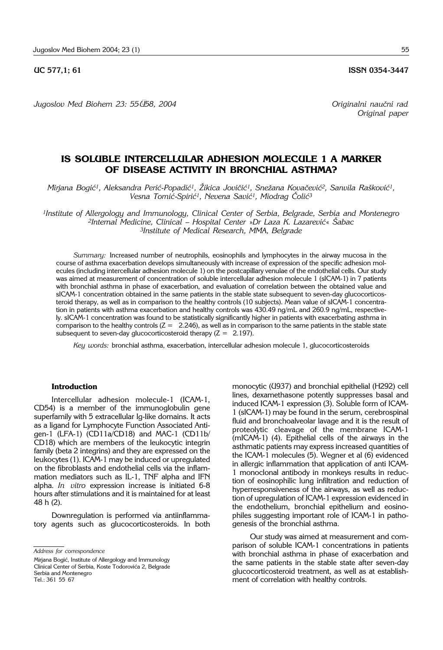*Jugoslov Med Biohem 23: 55–58, 2004 Originalni nau~ni rad*

# **IS SOLUBLE INTERCELLULAR ADHESION MOLECULE 1 A MARKER OF DISEASE ACTIVITY IN BRONCHIAL ASTHMA?**

Mirjana Bogić<sup>1</sup>, Aleksandra Perić-Popadić<sup>1</sup>, Žikica Jovičić<sup>1</sup>, Snežana Kovačević<sup>2</sup>, Sanvila Rašković<sup>1</sup>, Vesna Tomić-Spirić<sup>1</sup>, Nevena Savić<sup>1</sup>, Miodrag Čolić<sup>3</sup>

*1Institute of Allergology and Immunology, Clinical Center of Serbia, Belgrade, Serbia and Montenegro*  2Internal Medicine, Clinical - Hospital Center »Dr Laza K. Lazarević« Šabac *3Institute of Medical Research, MMA, Belgrade*

*Summary:* Increased number of neutrophils, eosinophils and lymphocytes in the airway mucosa in the course of asthma exacerbation develops simultaneously with increase of expression of the specific adhesion molecules (including intercellular adhesion molecule 1) on the postcapillary venulae of the endothelial cells. Our study was aimed at measurement of concentration of soluble intercellular adhesion molecule 1 (sICAM-1) in 7 patients with bronchial asthma in phase of exacerbation, and evaluation of correlation between the obtained value and sICAM-1 concentration obtained in the same patients in the stable state subsequent to seven-day glucocorticosteroid therapy, as well as in comparison to the healthy controls (10 subjects). Mean value of sICAM-1 concentration in patients with asthma exacerbation and healthy controls was 430.49 ng/mL and 260.9 ng/mL, respectively. sICAM-1 concentration was found to be statistically significantly higher in patients with exacerbating asthma in comparison to the healthy controls  $(Z = 2.246)$ , as well as in comparison to the same patients in the stable state subsequent to seven-day glucocorticosteroid therapy  $(Z = 2.197)$ .

*Key words:* bronchial asthma, exacerbation, intercellular adhesion molecule 1, glucocorticosteroids

### **Introduction**

Intercellular adhesion molecule-1 (ICAM-1, CD54) is a member of the immunoglobulin gene superfamily with 5 extracellular Ig-like domains. It acts as a ligand for Lymphocyte Function Associated Antigen-1 (LFA-1) (CD11a/CD18) and MAC-1 (CD11b/ CD18) which are members of the leukocytic integrin family (beta 2 integrins) and they are expressed on the leukocytes (1). ICAM-1 may be induced or upregulated on the fibroblasts and endothelial cells via the inflammation mediators such as IL-1, TNF alpha and IFN alpha. *In vitro* expression increase is initiated 6-8 hours after stimulations and it is maintained for at least 48 h (2).

Downregulation is performed via antiinflammatory agents such as glucocorticosteroids. In both

*Address for correspondence*

Mirjana Bogić, Institute of Allergology and Immunology Clinical Center of Serbia, Koste Todorovića 2, Belgrade Serbia and Montenegro Tel.: 361 55 67

monocytic (U937) and bronchial epithelial (H292) cell lines, dexamethasone potently suppresses basal and induced ICAM-1 expression (3). Soluble form of ICAM-1 (sICAM-1) may be found in the serum, cerebrospinal fluid and bronchoalveolar lavage and it is the result of proteolytic cleavage of the membrane ICAM-1 (mICAM-1) (4). Epithelial cells of the airways in the asthmatic patients may express increased quantities of the ICAM-1 molecules (5). Wegner et al (6) evidenced in allergic inflammation that application of anti ICAM-1 monoclonal antibody in monkeys results in reduction of eosinophilic lung infiltration and reduction of hyperresponsiveness of the airways, as well as reduction of upregulation of ICAM-1 expression evidenced in the endothelium, bronchial epithelium and eosinophiles suggesting important role of ICAM-1 in pathogenesis of the bronchial asthma.

Our study was aimed at measurement and comparison of soluble ICAM-1 concentrations in patients with bronchial asthma in phase of exacerbation and the same patients in the stable state after seven-day glucocorticosteroid treatment, as well as at establishment of correlation with healthy controls.

**UC 577,1; 61 ISSN 0354-3447** 

*Original paper*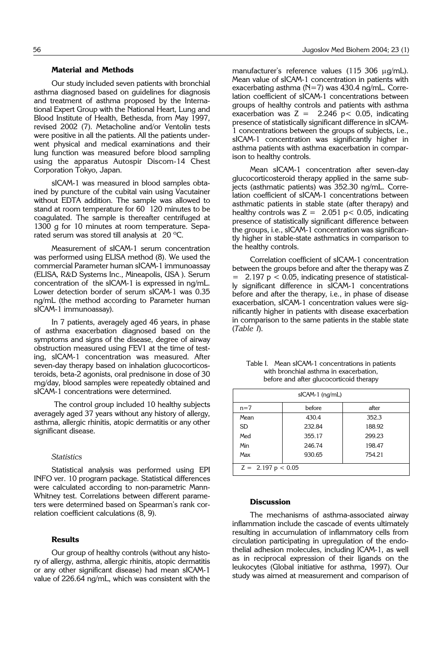#### **Material and Methods**

Our study included seven patients with bronchial asthma diagnosed based on guidelines for diagnosis and treatment of asthma proposed by the International Expert Group with the National Heart, Lung and Blood Institute of Health, Bethesda, from May 1997, revised 2002 (7). Metacholine and/or Ventolin tests were positive in all the patients. All the patients underwent physical and medical examinations and their lung function was measured before blood sampling using the apparatus Autospir Discom-14 Chest Corporation Tokyo, Japan.

sICAM-1 was measured in blood samples obtained by puncture of the cubital vain using Vacutainer without EDTA addition. The sample was allowed to stand at room temperature for 60 120 minutes to be coagulated. The sample is thereafter centrifuged at 1300 g for 10 minutes at room temperature. Separated serum was stored till analysis at  $20^{\circ}$ C.

Measurement of sICAM-1 serum concentration was performed using ELISA method (8). We used the commercial Parameter human sICAM-1 immunoassay (ELISA, R&D Systems Inc., Mineapolis, USA ). Serum concentration of the sICAM-1 is expressed in ng/mL. Lower detection border of serum sICAM-1 was 0.35 ng/mL (the method according to Parameter human sICAM-1 immunoassay).

In 7 patients, averagely aged 46 years, in phase of asthma exacerbation diagnosed based on the symptoms and signs of the disease, degree of airway obstruction measured using FEV1 at the time of testing, sICAM-1 concentration was measured. After seven-day therapy based on inhalation glucocorticosteroids, beta-2 agonists, oral prednisone in dose of 30 mg/day, blood samples were repeatedly obtained and sICAM-1 concentrations were determined.

The control group included 10 healthy subjects averagely aged 37 years without any history of allergy, asthma, allergic rhinitis, atopic dermatitis or any other significant disease.

### *Statistics*

Statistical analysis was performed using EPI INFO ver. 10 program package. Statistical differences were calculated according to non-parametric Mann-Whitney test. Correlations between different parameters were determined based on Spearman's rank correlation coefficient calculations (8, 9).

## **Results**

Our group of healthy controls (without any history of allergy, asthma, allergic rhinitis, atopic dermatitis or any other significant disease) had mean sICAM-1 value of 226.64 ng/mL, which was consistent with the manufacturer's reference values  $(115\ 306\ \mu q/mL)$ . Mean value of sICAM-1 concentration in patients with exacerbating asthma (N=7) was 430.4 ng/mL. Correlation coefficient of sICAM-1 concentrations between groups of healthy controls and patients with asthma exacerbation was  $Z = 2.246 \text{ p} < 0.05$ , indicating presence of statistically significant difference in sICAM-1 concentrations between the groups of subjects, i.e., sICAM-1 concentration was significantly higher in asthma patients with asthma exacerbation in comparison to healthy controls.

Mean sICAM-1 concentration after seven-day glucocorticosteroid therapy applied in the same subjects (asthmatic patients) was 352.30 ng/mL. Correlation coefficient of sICAM-1 concentrations between asthmatic patients in stable state (after therapy) and healthy controls was  $Z = 2.051$  p < 0.05, indicating presence of statistically significant difference between the groups, i.e., sICAM-1 concentration was significantly higher in stable-state asthmatics in comparison to the healthy controls.

Correlation coefficient of sICAM-1 concentration between the groups before and after the therapy was Z  $2.197$  p < 0.05, indicating presence of statistically significant difference in sICAM-1 concentrations before and after the therapy, i.e., in phase of disease exacerbation, sICAM-1 concentration values were significantly higher in patients with disease exacerbation in comparison to the same patients in the stable state (*Table I*).

| $slCAM-1$ ( $nq/mL$ )        |        |        |
|------------------------------|--------|--------|
| $n=7$                        | before | after  |
| Mean                         | 430.4  | 352.3  |
| <b>SD</b>                    | 232.84 | 188.92 |
| Med                          | 355.17 | 299.23 |
| Min                          | 246.74 | 198.47 |
| Max                          | 930.65 | 754.21 |
| $Z = 2.197 \text{ p} < 0.05$ |        |        |

Table I. Mean sICAM-1 concentrations in patients with bronchial asthma in exacerbation, before and after glucocorticoid therapy

### **Discussion**

The mechanisms of asthma-associated airway inflammation include the cascade of events ultimately resulting in accumulation of inflammatory cells from circulation participating in upregulation of the endothelial adhesion molecules, including ICAM-1, as well as in reciprocal expression of their ligands on the leukocytes (Global initiative for asthma, 1997). Our study was aimed at measurement and comparison of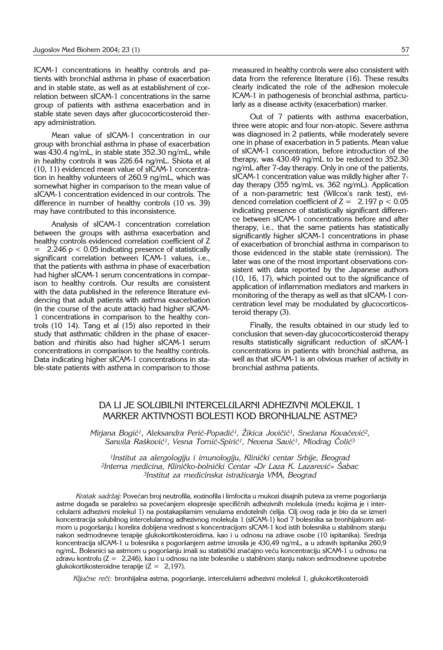ICAM-1 concentrations in healthy controls and patients with bronchial asthma in phase of exacerbation and in stable state, as well as at establishment of correlation between sICAM-1 concentrations in the same group of patients with asthma exacerbation and in stable state seven days after glucocorticosteroid therapy administration.

Mean value of sICAM-1 concentration in our group with bronchial asthma in phase of exacerbation was 430.4 ng/mL, in stable state 352.30 ng/mL, while in healthy controls it was 226.64 ng/mL. Shiota et al (10, 11) evidenced mean value of sICAM-1 concentration in healthy volunteers of 260.9 ng/mL, which was somewhat higher in comparison to the mean value of sICAM-1 concentration evidenced in our controls. The difference in number of healthy controls (10 vs. 39) may have contributed to this inconsistence.

Analysis of sICAM-1 concentration correlation between the groups with asthma exacerbation and healthy controls evidenced correlation coefficient of Z 2.246  $p < 0.05$  indicating presence of statistically significant correlation between ICAM-1 values, i.e., that the patients with asthma in phase of exacerbation had higher sICAM-1 serum concentrations in comparison to healthy controls. Our results are consistent with the data published in the reference literature evidencing that adult patients with asthma exacerbation (in the course of the acute attack) had higher sICAM-1 concentrations in comparison to the healthy controls  $(10 \t14)$ . Tang et al  $(15)$  also reported in their study that asthmatic children in the phase of exacerbation and rhinitis also had higher sICAM-1 serum concentrations in comparison to the healthy controls. Data indicating higher sICAM-1 concentrations in stable-state patients with asthma in comparison to those

measured in healthy controls were also consistent with data from the reference literature (16). These results clearly indicated the role of the adhesion molecule ICAM-1 in pathogenesis of bronchial asthma, particularly as a disease activity (exacerbation) marker.

Out of 7 patients with asthma exacerbation, three were atopic and four non-atopic. Severe asthma was diagnosed in 2 patients, while moderately severe one in phase of exacerbation in 5 patients. Mean value of sICAM-1 concentration, before introduction of the therapy, was 430.49 ng/mL to be reduced to 352.30 ng/mL after 7-day therapy. Only in one of the patients, sICAM-1 concentration value was mildly higher after 7 day therapy (355 ng/mL vs. 362 ng/mL). Application of a non-parametric test (Wilcox's rank test), evidenced correlation coefficient of  $Z = 2.197$  p < 0.05 indicating presence of statistically significant difference between sICAM-1 concentrations before and after therapy, i.e., that the same patients has statistically significantly higher sICAM-1 concentrations in phase of exacerbation of bronchial asthma in comparison to those evidenced in the stable state (remission). The later was one of the most important observations consistent with data reported by the Japanese authors (10, 16, 17), which pointed out to the significance of application of inflammation mediators and markers in monitoring of the therapy as well as that sICAM-1 concentration level may be modulated by glucocorticosteroid therapy (3).

Finally, the results obtained in our study led to conclusion that seven-day glucocorticosteroid therapy results statistically significant reduction of sICAM-1 concentrations in patients with bronchial asthma, as well as that sICAM-1 is an obvious marker of activity in bronchial asthma patients.

## DA LI JE SOLUBILNI INTERCELULARNI ADHEZIVNI MOLEKUL 1 MARKER AKTIVNOSTI BOLESTI KOD BRONHIJALNE ASTME?

Mirjana Bogić<sup>1</sup>, Aleksandra Perić-Popadić<sup>1</sup>, Žikica Jovičić<sup>1</sup>, Snežana Kovačević<sup>2</sup>, Sanvila Rašković<sup>1</sup>, Vesna Tomić-Spirić<sup>1</sup>, Nevena Savić<sup>1</sup>, Miodrag Čolić<sup>3</sup>

<sup>1</sup> Institut za alergologiju i imunologiju, Klinički centar Srbije, Beograd *2Interna medicina, Klini~ko*-*bolni~ki Centar* »*Dr Laza K. Lazarevi}*« *[abac 3Institut za medicinska istra`ivanja VMA, Beograd*

*Kratak sadržaj:* Povećan broj neutrofila, eozinofila i limfocita u mukozi disajnih puteva za vreme pogoršanja astme događa se paralelno sa povećanjem ekspresije specifičnih adhezivnih molekula (među kojima je i intercelularni adhezivni molekul 1) na postakapilarnim venulama endotelnih }elija. Cilj ovog rada je bio da se izmeri koncentracija solubilnog intercelularnog adhezivnog molekula 1 (sICAM-1) kod 7 bolesnika sa bronhijalnom astmom u pogor{anju i korelira dobijena vrednost s koncentracijom sICAM-1 kod istih bolesnika u stabilnom stanju nakon sedmodnevne terapije glukokortikosteroidima, kao i u odnosu na zdrave osobe (10 ispitanika). Srednja koncentracija sICAM-1 u bolesnika s pogoršanjem astme iznosila je 430,49 ng/mL, a u zdravih ispitanika 260,9 ng/mL. Bolesnici sa astmom u pogoršanju imali su statistički značajno veću koncentraciju sICAM-1 u odnosu na zdravu kontrolu (Z = '2,246), kao i u odnosu na iste bolesnike u stabilnom stanju nakon sedmodnevne upotrebe glukokortikosteroidne terapije  $(Z = 2,197)$ .

Ključne reči: bronhijalna astma, pogoršanje, intercelularni adhezivni molekul 1, glukokortikosteroidi